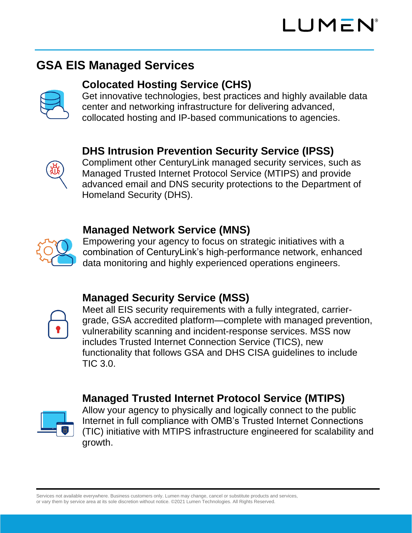# **GSA EIS Managed Services**

## **Colocated Hosting Service (CHS)**

Get innovative technologies, best practices and highly available data center and networking infrastructure for delivering advanced, collocated hosting and IP-based communications to agencies.

## **DHS Intrusion Prevention Security Service (IPSS)**

Compliment other CenturyLink managed security services, such as Managed Trusted Internet Protocol Service (MTIPS) and provide advanced email and DNS security protections to the Department of Homeland Security (DHS).

#### **Managed Network Service (MNS)**



Empowering your agency to focus on strategic initiatives with a combination of CenturyLink's high-performance network, enhanced data monitoring and highly experienced operations engineers.

## **Managed Security Service (MSS)**



Meet all EIS security requirements with a fully integrated, carriergrade, GSA accredited platform—complete with managed prevention, vulnerability scanning and incident-response services. MSS now includes Trusted Internet Connection Service (TICS), new functionality that follows GSA and DHS CISA guidelines to include TIC 3.0.

## **Managed Trusted Internet Protocol Service (MTIPS)**



Allow your agency to physically and logically connect to the public Internet in full compliance with OMB's Trusted Internet Connections (TIC) initiative with MTIPS infrastructure engineered for scalability and growth.

Services not available everywhere. Business customers only. Lumen may change, cancel or substitute products and services, or vary them by service area at its sole discretion without notice. ©2021 Lumen Technologies. All Rights Reserved.